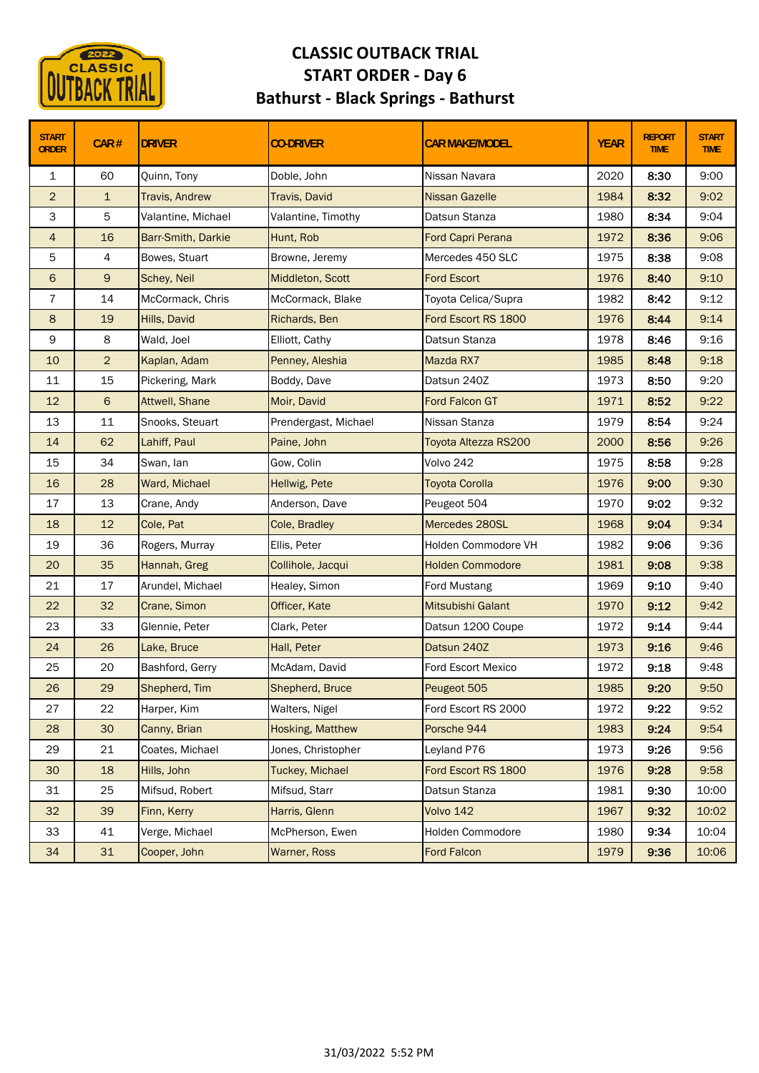

## **CLASSIC OUTBACK TRIAL START ORDER ‐ Day 6 Bathurst ‐ Black Springs ‐ Bathurst**

| <b>START</b><br><b>ORDER</b> | CAR#           | <b>DRIVER</b>         | <b>CO-DRIVER</b>     | <b>CAR MAKE/MODEL</b>    | <b>YEAR</b> | <b>REPORT</b><br><b>TIME</b> | <b>START</b><br><b>TIME</b> |
|------------------------------|----------------|-----------------------|----------------------|--------------------------|-------------|------------------------------|-----------------------------|
| $\mathbf{1}$                 | 60             | Quinn, Tony           | Doble, John          | Nissan Navara            | 2020        | 8:30                         | 9:00                        |
| $\overline{2}$               | $\mathbf{1}$   | <b>Travis, Andrew</b> | Travis, David        | <b>Nissan Gazelle</b>    | 1984        | 8:32                         | 9:02                        |
| 3                            | 5              | Valantine, Michael    | Valantine, Timothy   | Datsun Stanza            | 1980        | 8:34                         | 9:04                        |
| $\overline{4}$               | 16             | Barr-Smith, Darkie    | Hunt, Rob            | <b>Ford Capri Perana</b> | 1972        | 8:36                         | 9:06                        |
| 5                            | 4              | Bowes, Stuart         | Browne, Jeremy       | Mercedes 450 SLC         | 1975        | 8:38                         | 9:08                        |
| 6                            | $\mathsf g$    | Schey, Neil           | Middleton, Scott     | <b>Ford Escort</b>       | 1976        | 8:40                         | 9:10                        |
| 7                            | 14             | McCormack, Chris      | McCormack, Blake     | Toyota Celica/Supra      | 1982        | 8:42                         | 9:12                        |
| $\bf 8$                      | 19             | Hills, David          | Richards, Ben        | Ford Escort RS 1800      | 1976        | 8:44                         | 9:14                        |
| 9                            | 8              | Wald, Joel            | Elliott, Cathy       | Datsun Stanza            | 1978        | 8:46                         | 9:16                        |
| 10                           | $\overline{2}$ | Kaplan, Adam          | Penney, Aleshia      | Mazda RX7                | 1985        | 8:48                         | 9:18                        |
| 11                           | 15             | Pickering, Mark       | Boddy, Dave          | Datsun 240Z              | 1973        | 8:50                         | 9:20                        |
| 12                           | 6              | Attwell, Shane        | Moir, David          | Ford Falcon GT           | 1971        | 8:52                         | 9:22                        |
| 13                           | 11             | Snooks, Steuart       | Prendergast, Michael | Nissan Stanza            | 1979        | 8:54                         | 9:24                        |
| 14                           | 62             | Lahiff, Paul          | Paine, John          | Toyota Altezza RS200     | 2000        | 8:56                         | 9:26                        |
| 15                           | 34             | Swan, lan             | Gow, Colin           | Volvo 242                | 1975        | 8:58                         | 9:28                        |
| 16                           | 28             | Ward, Michael         | Hellwig, Pete        | <b>Toyota Corolla</b>    | 1976        | 9:00                         | 9:30                        |
| 17                           | 13             | Crane, Andy           | Anderson, Dave       | Peugeot 504              | 1970        | 9:02                         | 9:32                        |
| 18                           | 12             | Cole, Pat             | Cole, Bradley        | Mercedes 280SL           | 1968        | 9:04                         | 9:34                        |
| 19                           | 36             | Rogers, Murray        | Ellis, Peter         | Holden Commodore VH      | 1982        | 9:06                         | 9:36                        |
| 20                           | 35             | Hannah, Greg          | Collihole, Jacqui    | <b>Holden Commodore</b>  | 1981        | 9:08                         | 9:38                        |
| 21                           | 17             | Arundel, Michael      | Healey, Simon        | Ford Mustang             | 1969        | 9:10                         | 9:40                        |
| 22                           | 32             | Crane, Simon          | Officer, Kate        | Mitsubishi Galant        | 1970        | 9:12                         | 9:42                        |
| 23                           | 33             | Glennie, Peter        | Clark, Peter         | Datsun 1200 Coupe        | 1972        | 9:14                         | 9:44                        |
| 24                           | 26             | Lake, Bruce           | Hall, Peter          | Datsun 240Z              | 1973        | 9:16                         | 9:46                        |
| 25                           | 20             | Bashford, Gerry       | McAdam, David        | Ford Escort Mexico       | 1972        | 9:18                         | 9:48                        |
| 26                           | 29             | Shepherd, Tim         | Shepherd, Bruce      | Peugeot 505              | 1985        | 9:20                         | 9:50                        |
| 27                           | 22             | Harper, Kim           | Walters, Nigel       | Ford Escort RS 2000      | 1972        | 9:22                         | 9:52                        |
| 28                           | 30             | Canny, Brian          | Hosking, Matthew     | Porsche 944              | 1983        | 9:24                         | 9:54                        |
| 29                           | 21             | Coates, Michael       | Jones, Christopher   | Leyland P76              | 1973        | 9:26                         | 9:56                        |
| 30                           | 18             | Hills, John           | Tuckey, Michael      | Ford Escort RS 1800      | 1976        | 9:28                         | 9:58                        |
| 31                           | 25             | Mifsud, Robert        | Mifsud, Starr        | Datsun Stanza            | 1981        | 9:30                         | 10:00                       |
| 32 <sub>2</sub>              | 39             | Finn, Kerry           | Harris, Glenn        | Volvo 142                | 1967        | 9:32                         | 10:02                       |
| 33                           | 41             | Verge, Michael        | McPherson, Ewen      | Holden Commodore         | 1980        | 9:34                         | 10:04                       |
| 34                           | 31             | Cooper, John          | Warner, Ross         | Ford Falcon              | 1979        | 9:36                         | 10:06                       |